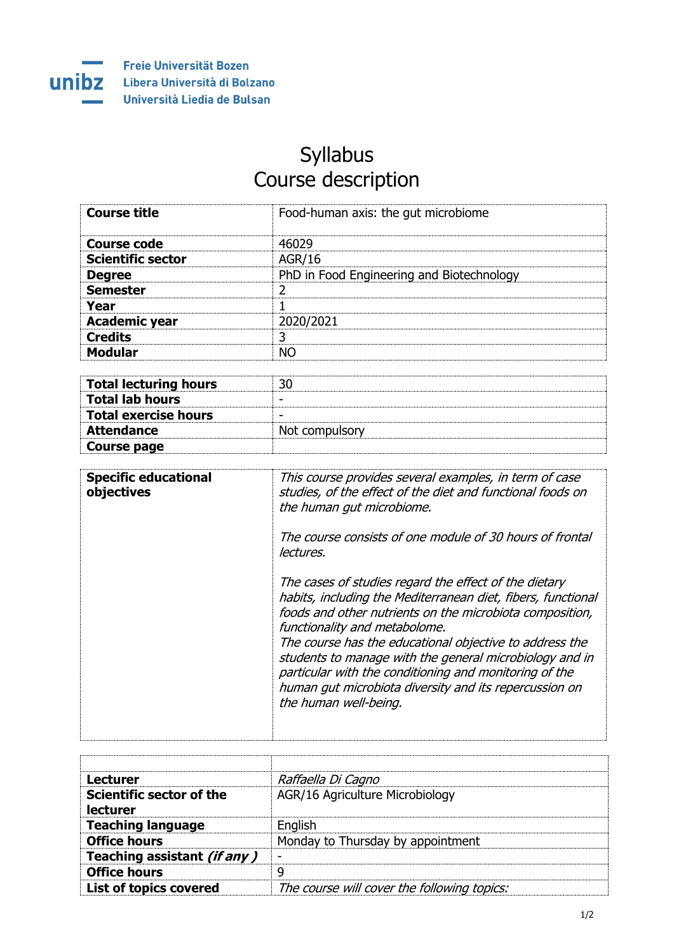

## Syllabus Course description

| <b>Course title</b>      | Food-human axis: the gut microbiome       |
|--------------------------|-------------------------------------------|
| <b>Course code</b>       | 46029                                     |
| <b>Scientific sector</b> | <b>AGR/16</b>                             |
| <b>Degree</b>            | PhD in Food Engineering and Biotechnology |
| <b>Semester</b>          |                                           |
| Year                     |                                           |
| <b>Academic year</b>     | 2020/2021                                 |
| <b>Credits</b>           | ว                                         |
| <b>Modular</b>           | <b>NO</b>                                 |

| <b>Total lecturing hours</b> |                          |
|------------------------------|--------------------------|
| <b>Total lab hours</b>       | $\overline{\phantom{0}}$ |
| <b>Total exercise hours</b>  | -                        |
| <b>Attendance</b>            | Not compulsory           |
| Course page                  |                          |

| <b>Specific educational</b><br>objectives | This course provides several examples, in term of case<br>studies, of the effect of the diet and functional foods on<br>the human gut microbiome.                                                                                                                                                                                                                                                                                                                                     |
|-------------------------------------------|---------------------------------------------------------------------------------------------------------------------------------------------------------------------------------------------------------------------------------------------------------------------------------------------------------------------------------------------------------------------------------------------------------------------------------------------------------------------------------------|
|                                           | The course consists of one module of 30 hours of frontal<br>lectures.                                                                                                                                                                                                                                                                                                                                                                                                                 |
|                                           | The cases of studies regard the effect of the dietary<br>habits, including the Mediterranean diet, fibers, functional<br>foods and other nutrients on the microbiota composition,<br>functionality and metabolome.<br>The course has the educational objective to address the<br>students to manage with the general microbiology and in<br>particular with the conditioning and monitoring of the<br>human gut microbiota diversity and its repercussion on<br>the human well-being. |

| Lecturer                      | Raffaella Di Cagno                          |
|-------------------------------|---------------------------------------------|
| Scientific sector of the      | AGR/16 Agriculture Microbiology             |
| lecturer                      |                                             |
| <b>Teaching language</b>      | English                                     |
| <b>Office hours</b>           | Monday to Thursday by appointment           |
| Teaching assistant (if any)   |                                             |
| <b>Office hours</b>           | q                                           |
| <b>List of topics covered</b> | The course will cover the following topics: |